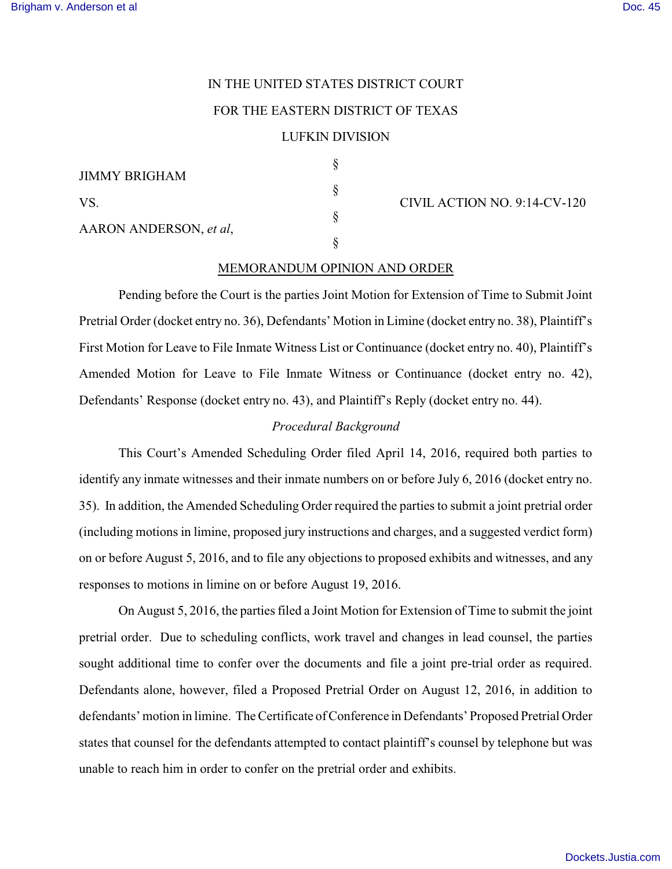# IN THE UNITED STATES DISTRICT COURT FOR THE EASTERN DISTRICT OF TEXAS

## LUFKIN DIVISION

§

§

§

§

| JIMMY BRIGHAM          |  |
|------------------------|--|
| VS.                    |  |
| AARON ANDERSON, et al. |  |

CIVIL ACTION NO. 9:14-CV-120

## MEMORANDUM OPINION AND ORDER

Pending before the Court is the parties Joint Motion for Extension of Time to Submit Joint Pretrial Order (docket entry no. 36), Defendants' Motion in Limine (docket entry no. 38), Plaintiff's First Motion for Leave to File Inmate Witness List or Continuance (docket entry no. 40), Plaintiff's Amended Motion for Leave to File Inmate Witness or Continuance (docket entry no. 42), Defendants' Response (docket entry no. 43), and Plaintiff's Reply (docket entry no. 44).

### *Procedural Background*

This Court's Amended Scheduling Order filed April 14, 2016, required both parties to identify any inmate witnesses and their inmate numbers on or before July 6, 2016 (docket entry no. 35). In addition, the Amended Scheduling Order required the parties to submit a joint pretrial order (including motions in limine, proposed jury instructions and charges, and a suggested verdict form) on or before August 5, 2016, and to file any objections to proposed exhibits and witnesses, and any responses to motions in limine on or before August 19, 2016.

On August 5, 2016, the parties filed a Joint Motion for Extension of Time to submit the joint pretrial order. Due to scheduling conflicts, work travel and changes in lead counsel, the parties sought additional time to confer over the documents and file a joint pre-trial order as required. Defendants alone, however, filed a Proposed Pretrial Order on August 12, 2016, in addition to defendants' motion in limine. The Certificate of Conference in Defendants' Proposed Pretrial Order states that counsel for the defendants attempted to contact plaintiff's counsel by telephone but was unable to reach him in order to confer on the pretrial order and exhibits.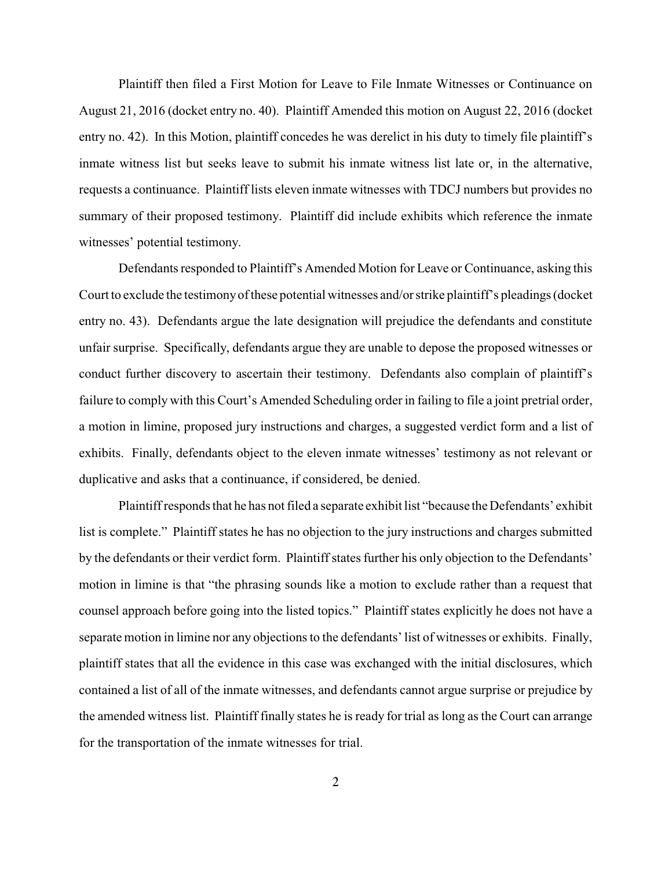Plaintiff then filed a First Motion for Leave to File Inmate Witnesses or Continuance on August 21, 2016 (docket entry no. 40). Plaintiff Amended this motion on August 22, 2016 (docket entry no. 42). In this Motion, plaintiff concedes he was derelict in his duty to timely file plaintiff's inmate witness list but seeks leave to submit his inmate witness list late or, in the alternative, requests a continuance. Plaintiff lists eleven inmate witnesses with TDCJ numbers but provides no summary of their proposed testimony. Plaintiff did include exhibits which reference the inmate witnesses' potential testimony.

Defendants responded to Plaintiff's Amended Motion for Leave or Continuance, asking this Court to exclude the testimony of these potential witnesses and/or strike plaintiff's pleadings (docket entry no. 43). Defendants argue the late designation will prejudice the defendants and constitute unfair surprise. Specifically, defendants argue they are unable to depose the proposed witnesses or conduct further discovery to ascertain their testimony. Defendants also complain of plaintiff's failure to comply with this Court's Amended Scheduling order in failing to file a joint pretrial order, a motion in limine, proposed jury instructions and charges, a suggested verdict form and a list of exhibits. Finally, defendants object to the eleven inmate witnesses' testimony as not relevant or duplicative and asks that a continuance, if considered, be denied.

Plaintiff responds that he has not filed a separate exhibit list "because the Defendants' exhibit list is complete." Plaintiff states he has no objection to the jury instructions and charges submitted by the defendants or their verdict form. Plaintiff states further his only objection to the Defendants' motion in limine is that "the phrasing sounds like a motion to exclude rather than a request that counsel approach before going into the listed topics." Plaintiff states explicitly he does not have a separate motion in limine nor any objections to the defendants' list of witnesses or exhibits. Finally, plaintiff states that all the evidence in this case was exchanged with the initial disclosures, which contained a list of all of the inmate witnesses, and defendants cannot argue surprise or prejudice by the amended witness list. Plaintiff finally states he is ready for trial as long as the Court can arrange for the transportation of the inmate witnesses for trial.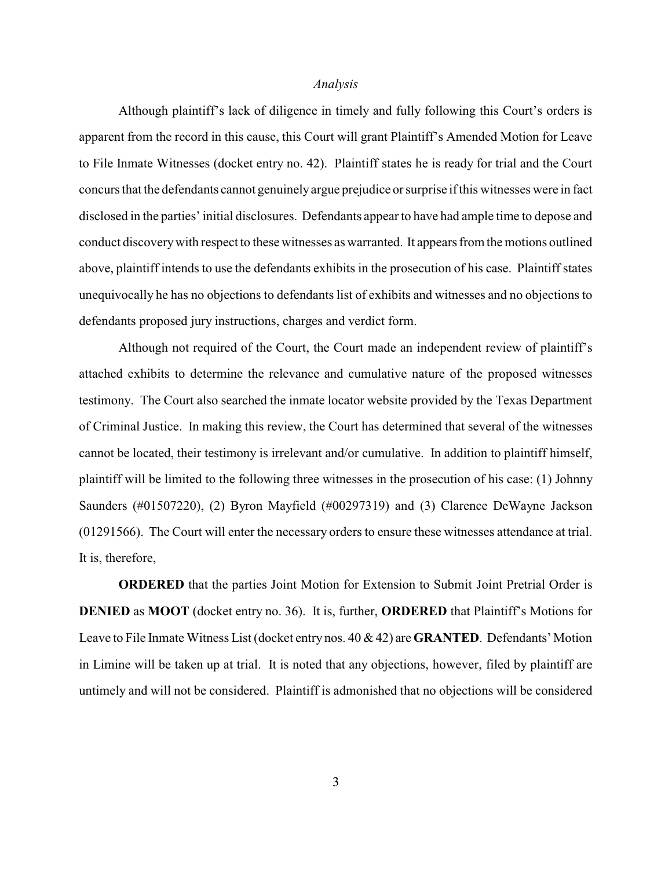#### *Analysis*

Although plaintiff's lack of diligence in timely and fully following this Court's orders is apparent from the record in this cause, this Court will grant Plaintiff's Amended Motion for Leave to File Inmate Witnesses (docket entry no. 42). Plaintiff states he is ready for trial and the Court concurs that the defendants cannot genuinely argue prejudice or surprise if this witnesses were in fact disclosed in the parties' initial disclosures. Defendants appear to have had ample time to depose and conduct discovery with respect to these witnesses as warranted. It appears from the motions outlined above, plaintiff intends to use the defendants exhibits in the prosecution of his case. Plaintiff states unequivocally he has no objections to defendants list of exhibits and witnesses and no objections to defendants proposed jury instructions, charges and verdict form.

Although not required of the Court, the Court made an independent review of plaintiff's attached exhibits to determine the relevance and cumulative nature of the proposed witnesses testimony. The Court also searched the inmate locator website provided by the Texas Department of Criminal Justice. In making this review, the Court has determined that several of the witnesses cannot be located, their testimony is irrelevant and/or cumulative. In addition to plaintiff himself, plaintiff will be limited to the following three witnesses in the prosecution of his case: (1) Johnny Saunders (#01507220), (2) Byron Mayfield (#00297319) and (3) Clarence DeWayne Jackson (01291566). The Court will enter the necessary orders to ensure these witnesses attendance at trial. It is, therefore,

**ORDERED** that the parties Joint Motion for Extension to Submit Joint Pretrial Order is **DENIED** as **MOOT** (docket entry no. 36). It is, further, **ORDERED** that Plaintiff's Motions for Leave to File Inmate Witness List (docket entry nos. 40 & 42) are **GRANTED**. Defendants' Motion in Limine will be taken up at trial. It is noted that any objections, however, filed by plaintiff are untimely and will not be considered. Plaintiff is admonished that no objections will be considered